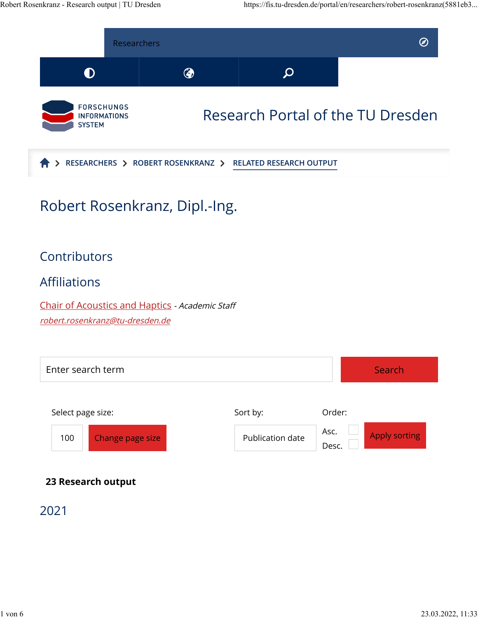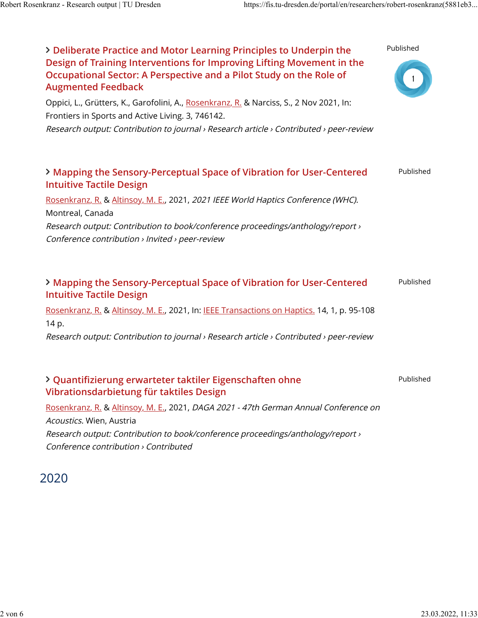

## 2020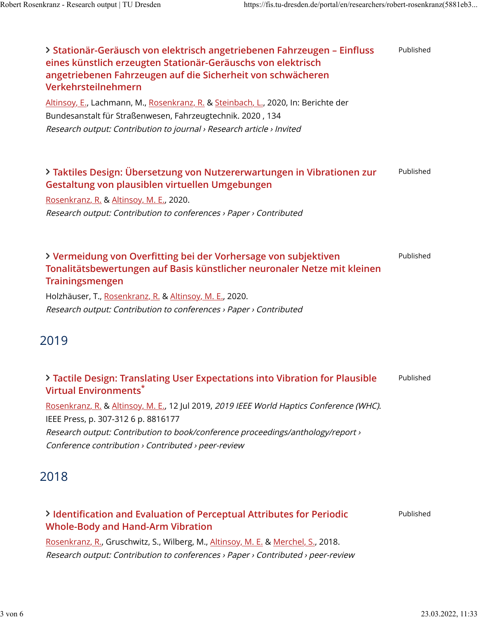| > Stationär-Geräusch von elektrisch angetriebenen Fahrzeugen - Einfluss<br>eines künstlich erzeugten Stationär-Geräuschs von elektrisch<br>angetriebenen Fahrzeugen auf die Sicherheit von schwächeren<br>Verkehrsteilnehmern<br>Altinsoy, E., Lachmann, M., Rosenkranz, R. & Steinbach, L., 2020, In: Berichte der<br>Bundesanstalt für Straßenwesen, Fahrzeugtechnik. 2020, 134<br>Research output: Contribution to journal > Research article > Invited | Published |
|------------------------------------------------------------------------------------------------------------------------------------------------------------------------------------------------------------------------------------------------------------------------------------------------------------------------------------------------------------------------------------------------------------------------------------------------------------|-----------|
| > Taktiles Design: Übersetzung von Nutzererwartungen in Vibrationen zur<br>Gestaltung von plausiblen virtuellen Umgebungen<br>Rosenkranz, R. & Altinsoy, M. E., 2020.<br>Research output: Contribution to conferences > Paper > Contributed                                                                                                                                                                                                                | Published |
| > Vermeidung von Overfitting bei der Vorhersage von subjektiven<br>Tonalitätsbewertungen auf Basis künstlicher neuronaler Netze mit kleinen<br>Trainingsmengen<br>Holzhäuser, T., Rosenkranz, R. & Altinsoy, M. E., 2020.<br>Research output: Contribution to conferences > Paper > Contributed                                                                                                                                                            | Published |
| 2019                                                                                                                                                                                                                                                                                                                                                                                                                                                       |           |
| > Tactile Design: Translating User Expectations into Vibration for Plausible<br><b>Virtual Environments*</b><br>Rosenkranz, R. & Altinsoy, M. E., 12 Jul 2019, 2019 IEEE World Haptics Conference (WHC).<br>IEEE Press, p. 307-312 6 p. 8816177<br>Research output: Contribution to book/conference proceedings/anthology/report ><br>Conference contribution > Contributed > peer-review                                                                  | Published |
| 2018                                                                                                                                                                                                                                                                                                                                                                                                                                                       |           |
| > Identification and Evaluation of Perceptual Attributes for Periodic<br><b>Whole-Body and Hand-Arm Vibration</b><br>Rosenkranz, R., Gruschwitz, S., Wilberg, M., Altinsoy, M. E. & Merchel, S., 2018.<br>Research output: Contribution to conferences > Paper > Contributed > peer-review                                                                                                                                                                 | Published |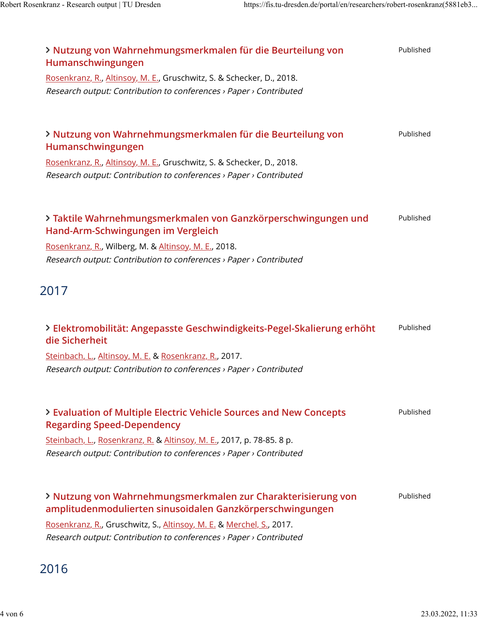| > Nutzung von Wahrnehmungsmerkmalen für die Beurteilung von<br>Humanschwingungen                                                            | Published |
|---------------------------------------------------------------------------------------------------------------------------------------------|-----------|
| Rosenkranz, R., Altinsoy, M. E., Gruschwitz, S. & Schecker, D., 2018.                                                                       |           |
| Research output: Contribution to conferences > Paper > Contributed                                                                          |           |
| > Nutzung von Wahrnehmungsmerkmalen für die Beurteilung von<br>Humanschwingungen                                                            | Published |
| Rosenkranz, R., Altinsoy, M. E., Gruschwitz, S. & Schecker, D., 2018.<br>Research output: Contribution to conferences > Paper > Contributed |           |
| > Taktile Wahrnehmungsmerkmalen von Ganzkörperschwingungen und                                                                              | Published |
| Hand-Arm-Schwingungen im Vergleich                                                                                                          |           |
| Rosenkranz, R., Wilberg, M. & Altinsoy, M. E., 2018.                                                                                        |           |
| Research output: Contribution to conferences > Paper > Contributed                                                                          |           |
| 2017                                                                                                                                        |           |
| > Elektromobilität: Angepasste Geschwindigkeits-Pegel-Skalierung erhöht<br>die Sicherheit                                                   | Published |
| Steinbach, L., Altinsoy, M. E. & Rosenkranz, R., 2017.                                                                                      |           |
| Research output: Contribution to conferences > Paper > Contributed                                                                          |           |
| > Evaluation of Multiple Electric Vehicle Sources and New Concepts<br><b>Regarding Speed-Dependency</b>                                     | Published |
| Steinbach, L., Rosenkranz, R. & Altinsoy, M. E., 2017, p. 78-85. 8 p.                                                                       |           |
| Research output: Contribution to conferences > Paper > Contributed                                                                          |           |
| > Nutzung von Wahrnehmungsmerkmalen zur Charakterisierung von<br>amplitudenmodulierten sinusoidalen Ganzkörperschwingungen                  | Published |
| Rosenkranz, R., Gruschwitz, S., Altinsoy, M. E. & Merchel, S., 2017.                                                                        |           |
| Research output: Contribution to conferences > Paper > Contributed                                                                          |           |
|                                                                                                                                             |           |

## 2016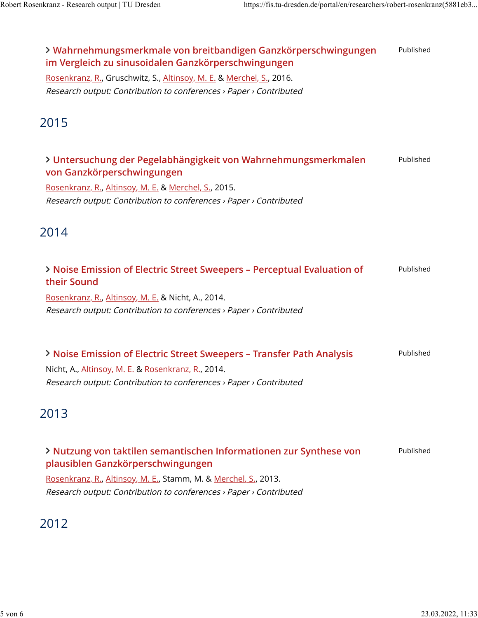| > Wahrnehmungsmerkmale von breitbandigen Ganzkörperschwingungen<br>im Vergleich zu sinusoidalen Ganzkörperschwingungen<br>Rosenkranz, R., Gruschwitz, S., Altinsoy, M. E. & Merchel, S., 2016.<br>Research output: Contribution to conferences > Paper > Contributed | Published |
|----------------------------------------------------------------------------------------------------------------------------------------------------------------------------------------------------------------------------------------------------------------------|-----------|
| 2015                                                                                                                                                                                                                                                                 |           |
| > Untersuchung der Pegelabhängigkeit von Wahrnehmungsmerkmalen<br>von Ganzkörperschwingungen<br>Rosenkranz, R., Altinsoy, M. E. & Merchel, S., 2015.<br>Research output: Contribution to conferences > Paper > Contributed                                           | Published |
| 2014                                                                                                                                                                                                                                                                 |           |
| > Noise Emission of Electric Street Sweepers - Perceptual Evaluation of<br>their Sound<br>Rosenkranz, R., Altinsoy, M. E. & Nicht, A., 2014.<br>Research output: Contribution to conferences > Paper > Contributed                                                   | Published |
| > Noise Emission of Electric Street Sweepers - Transfer Path Analysis<br>Nicht, A., Altinsoy, M. E. & Rosenkranz, R., 2014.<br>Research output: Contribution to conferences > Paper > Contributed                                                                    | Published |
| 2013                                                                                                                                                                                                                                                                 |           |
| > Nutzung von taktilen semantischen Informationen zur Synthese von<br>plausiblen Ganzkörperschwingungen<br>Rosenkranz, R., Altinsoy, M. E., Stamm, M. & Merchel, S., 2013.<br>Research output: Contribution to conferences > Paper > Contributed                     | Published |
| 2012                                                                                                                                                                                                                                                                 |           |